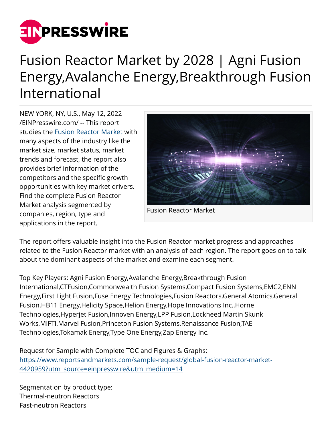

## Fusion Reactor Market by 2028 | Agni Fusion Energy,Avalanche Energy,Breakthrough Fusion International

NEW YORK, NY, U.S., May 12, 2022 [/EINPresswire.com/](http://www.einpresswire.com) -- This report studies the [Fusion Reactor Market](https://www.reportsandmarkets.com/reports/global-fusion-reactor-market-4420959?utm_source=einpresswire&utm_medium=14) with many aspects of the industry like the market size, market status, market trends and forecast, the report also provides brief information of the competitors and the specific growth opportunities with key market drivers. Find the complete Fusion Reactor Market analysis segmented by companies, region, type and applications in the report.



Fusion Reactor Market

The report offers valuable insight into the Fusion Reactor market progress and approaches related to the Fusion Reactor market with an analysis of each region. The report goes on to talk about the dominant aspects of the market and examine each segment.

Top Key Players: Agni Fusion Energy,Avalanche Energy,Breakthrough Fusion International,CTFusion,Commonwealth Fusion Systems,Compact Fusion Systems,EMC2,ENN Energy,First Light Fusion,Fuse Energy Technologies,Fusion Reactors,General Atomics,General Fusion,HB11 Energy,Helicity Space,Helion Energy,Hope Innovations Inc.,Horne Technologies,Hyperjet Fusion,Innoven Energy,LPP Fusion,Lockheed Martin Skunk Works,MIFTI,Marvel Fusion,Princeton Fusion Systems,Renaissance Fusion,TAE Technologies,Tokamak Energy,Type One Energy,Zap Energy Inc.

Request for Sample with Complete TOC and Figures & Graphs: [https://www.reportsandmarkets.com/sample-request/global-fusion-reactor-market-](https://www.reportsandmarkets.com/sample-request/global-fusion-reactor-market-4420959?utm_source=einpresswire&utm_medium=14)[4420959?utm\\_source=einpresswire&utm\\_medium=14](https://www.reportsandmarkets.com/sample-request/global-fusion-reactor-market-4420959?utm_source=einpresswire&utm_medium=14)

Segmentation by product type: Thermal-neutron Reactors Fast-neutron Reactors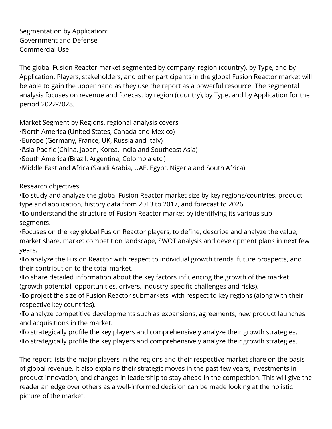Segmentation by Application: Government and Defense Commercial Use

The global Fusion Reactor market segmented by company, region (country), by Type, and by Application. Players, stakeholders, and other participants in the global Fusion Reactor market will be able to gain the upper hand as they use the report as a powerful resource. The segmental analysis focuses on revenue and forecast by region (country), by Type, and by Application for the period 2022-2028.

Market Segment by Regions, regional analysis covers

- • North America (United States, Canada and Mexico)
- Burope (Germany, France, UK, Russia and Italy)
- • Asia-Pacific (China, Japan, Korea, India and Southeast Asia)
- • South America (Brazil, Argentina, Colombia etc.)
- • Middle East and Africa (Saudi Arabia, UAE, Egypt, Nigeria and South Africa)

Research objectives:

• To study and analyze the global Fusion Reactor market size by key regions/countries, product type and application, history data from 2013 to 2017, and forecast to 2026.

• To understand the structure of Fusion Reactor market by identifying its various sub segments.

• Bocuses on the key global Fusion Reactor players, to define, describe and analyze the value, market share, market competition landscape, SWOT analysis and development plans in next few years.

• To analyze the Fusion Reactor with respect to individual growth trends, future prospects, and their contribution to the total market.

• To share detailed information about the key factors influencing the growth of the market (growth potential, opportunities, drivers, industry-specific challenges and risks).

• To project the size of Fusion Reactor submarkets, with respect to key regions (along with their respective key countries).

• To analyze competitive developments such as expansions, agreements, new product launches and acquisitions in the market.

• To strategically profile the key players and comprehensively analyze their growth strategies. • To strategically profile the key players and comprehensively analyze their growth strategies.

The report lists the major players in the regions and their respective market share on the basis of global revenue. It also explains their strategic moves in the past few years, investments in product innovation, and changes in leadership to stay ahead in the competition. This will give the reader an edge over others as a well-informed decision can be made looking at the holistic picture of the market.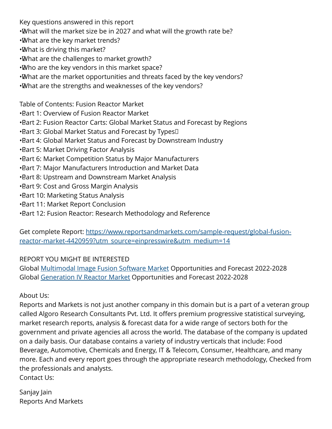Key questions answered in this report

- •What will the market size be in 2027 and what will the growth rate be?
- • What are the key market trends?
- • What is driving this market?
- • What are the challenges to market growth?
- • Who are the key vendors in this market space?
- • What are the market opportunities and threats faced by the key vendors?
- • What are the strengths and weaknesses of the key vendors?

Table of Contents: Fusion Reactor Market

- • Part 1: Overview of Fusion Reactor Market
- Bart 2: Fusion Reactor Carts: Global Market Status and Forecast by Regions
- $\cdot$ Bart 3: Global Market Status and Forecast by Types $\Box$
- Bart 4: Global Market Status and Forecast by Downstream Industry
- **Bart 5: Market Driving Factor Analysis**
- • Part 6: Market Competition Status by Major Manufacturers
- Bart 7: Major Manufacturers Introduction and Market Data
- **Bart 8: Upstream and Downstream Market Analysis**
- **Bart 9: Cost and Gross Margin Analysis**
- **Bart 10: Marketing Status Analysis**
- • Part 11: Market Report Conclusion
- Bart 12: Fusion Reactor: Research Methodology and Reference

Get complete Report: [https://www.reportsandmarkets.com/sample-request/global-fusion](https://www.reportsandmarkets.com/sample-request/global-fusion-reactor-market-4420959?utm_source=einpresswire&utm_medium=14)[reactor-market-4420959?utm\\_source=einpresswire&utm\\_medium=14](https://www.reportsandmarkets.com/sample-request/global-fusion-reactor-market-4420959?utm_source=einpresswire&utm_medium=14)

## REPORT YOU MIGHT BE INTERESTED

Global [Multimodal Image Fusion Software Market](https://www.reportsandmarkets.com/reports/global-multimodal-image-fusion-software-market-4408650?utm_source=einpresswire&utm_medium=14) Opportunities and Forecast 2022-2028 Global [Generation IV Reactor Market](https://www.reportsandmarkets.com/reports/global-generation-iv-reactor-market-4409545?utm_source=einpresswire&utm_medium=14) Opportunities and Forecast 2022-2028

About Us:

Reports and Markets is not just another company in this domain but is a part of a veteran group called Algoro Research Consultants Pvt. Ltd. It offers premium progressive statistical surveying, market research reports, analysis & forecast data for a wide range of sectors both for the government and private agencies all across the world. The database of the company is updated on a daily basis. Our database contains a variety of industry verticals that include: Food Beverage, Automotive, Chemicals and Energy, IT & Telecom, Consumer, Healthcare, and many more. Each and every report goes through the appropriate research methodology, Checked from the professionals and analysts. Contact Us:

Sanjay Jain Reports And Markets